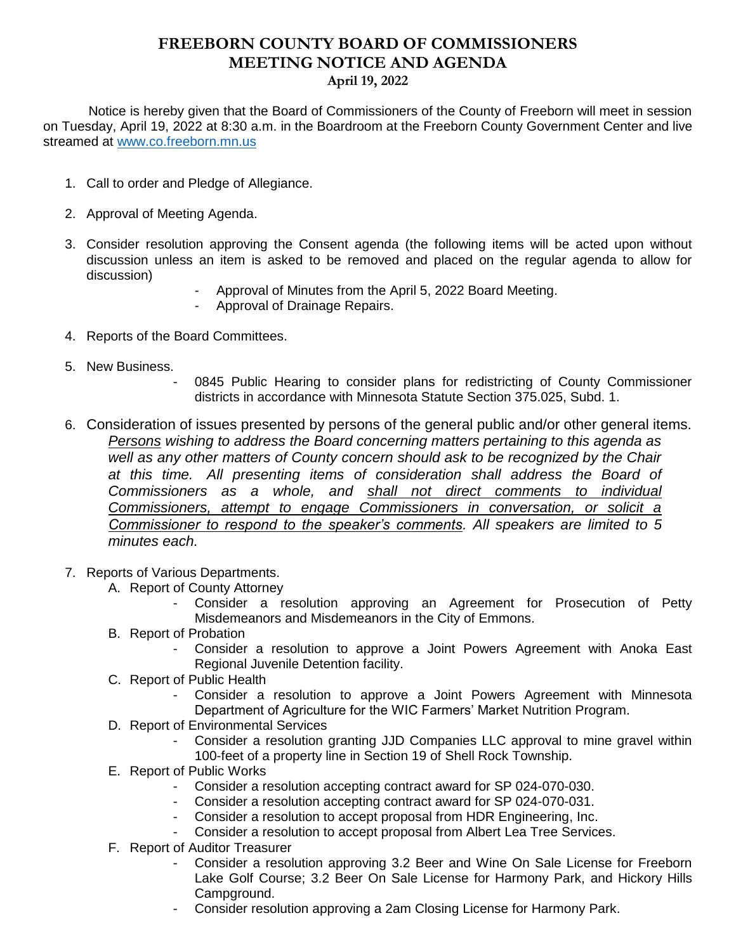## **FREEBORN COUNTY BOARD OF COMMISSIONERS MEETING NOTICE AND AGENDA April 19, 2022**

 Notice is hereby given that the Board of Commissioners of the County of Freeborn will meet in session on Tuesday, April 19, 2022 at 8:30 a.m. in the Boardroom at the Freeborn County Government Center and live streamed at [www.co.freeborn.mn.us](http://www.co.freeborn.mn.us/) 

- 1. Call to order and Pledge of Allegiance.
- 2. Approval of Meeting Agenda.
- 3. Consider resolution approving the Consent agenda (the following items will be acted upon without discussion unless an item is asked to be removed and placed on the regular agenda to allow for discussion)
	- Approval of Minutes from the April 5, 2022 Board Meeting.
	- Approval of Drainage Repairs.
- 4. Reports of the Board Committees.
- 5. New Business.
	- 0845 Public Hearing to consider plans for redistricting of County Commissioner districts in accordance with Minnesota Statute Section 375.025, Subd. 1.
- 6. Consideration of issues presented by persons of the general public and/or other general items. *Persons wishing to address the Board concerning matters pertaining to this agenda as well as any other matters of County concern should ask to be recognized by the Chair at this time. All presenting items of consideration shall address the Board of Commissioners as a whole, and shall not direct comments to individual Commissioners, attempt to engage Commissioners in conversation, or solicit a Commissioner to respond to the speaker's comments. All speakers are limited to 5 minutes each.*
- 7. Reports of Various Departments.
	- A. Report of County Attorney
		- Consider a resolution approving an Agreement for Prosecution of Petty Misdemeanors and Misdemeanors in the City of Emmons.
	- B. Report of Probation
		- Consider a resolution to approve a Joint Powers Agreement with Anoka East Regional Juvenile Detention facility.
	- C. Report of Public Health
		- Consider a resolution to approve a Joint Powers Agreement with Minnesota Department of Agriculture for the WIC Farmers' Market Nutrition Program.
	- D. Report of Environmental Services
		- Consider a resolution granting JJD Companies LLC approval to mine gravel within 100-feet of a property line in Section 19 of Shell Rock Township.
	- E. Report of Public Works
		- Consider a resolution accepting contract award for SP 024-070-030.
		- Consider a resolution accepting contract award for SP 024-070-031.
		- Consider a resolution to accept proposal from HDR Engineering, Inc.
		- Consider a resolution to accept proposal from Albert Lea Tree Services.
	- F. Report of Auditor Treasurer
		- Consider a resolution approving 3.2 Beer and Wine On Sale License for Freeborn Lake Golf Course; 3.2 Beer On Sale License for Harmony Park, and Hickory Hills Campground.
		- Consider resolution approving a 2am Closing License for Harmony Park.